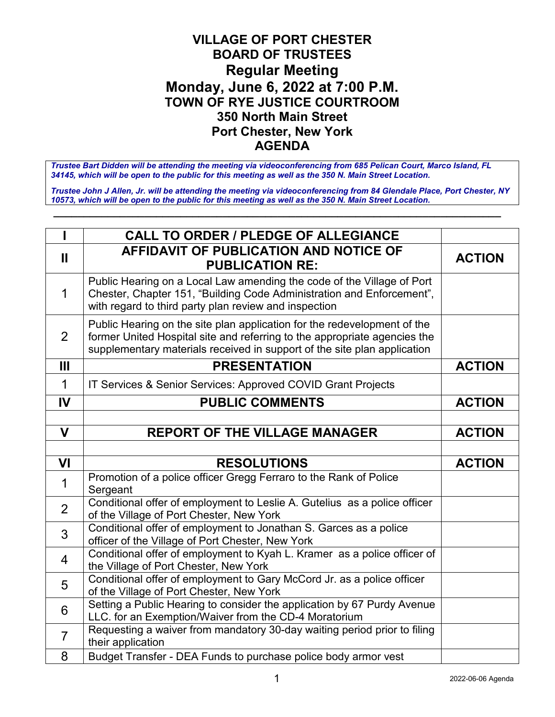## **VILLAGE OF PORT CHESTER BOARD OF TRUSTEES Regular Meeting Monday, June 6, 2022 at 7:00 P.M. TOWN OF RYE JUSTICE COURTROOM 350 North Main Street Port Chester, New York AGENDA**

*Trustee Bart Didden will be attending the meeting via videoconferencing from 685 Pelican Court, Marco Island, FL 34145, which will be open to the public for this meeting as well as the 350 N. Main Street Location.*

*Trustee John J Allen, Jr. will be attending the meeting via videoconferencing from 84 Glendale Place, Port Chester, NY 10573, which will be open to the public for this meeting as well as the 350 N. Main Street Location.*

**\_\_\_\_\_\_\_\_\_\_\_\_\_\_\_\_\_\_\_\_\_\_\_\_\_\_\_\_\_\_\_\_\_\_\_\_\_\_\_\_\_\_\_\_\_\_\_\_\_\_\_\_\_\_\_\_\_\_\_\_\_\_\_\_\_\_\_\_\_\_\_\_\_\_**

|                | <b>CALL TO ORDER / PLEDGE OF ALLEGIANCE</b>                                                                                                                                                                                       |               |
|----------------|-----------------------------------------------------------------------------------------------------------------------------------------------------------------------------------------------------------------------------------|---------------|
| Ш              | <b>AFFIDAVIT OF PUBLICATION AND NOTICE OF</b><br><b>PUBLICATION RE:</b>                                                                                                                                                           | <b>ACTION</b> |
| 1              | Public Hearing on a Local Law amending the code of the Village of Port<br>Chester, Chapter 151, "Building Code Administration and Enforcement",<br>with regard to third party plan review and inspection                          |               |
| 2              | Public Hearing on the site plan application for the redevelopment of the<br>former United Hospital site and referring to the appropriate agencies the<br>supplementary materials received in support of the site plan application |               |
| Ш              | <b>PRESENTATION</b>                                                                                                                                                                                                               | <b>ACTION</b> |
| 1              | IT Services & Senior Services: Approved COVID Grant Projects                                                                                                                                                                      |               |
| IV             | <b>PUBLIC COMMENTS</b>                                                                                                                                                                                                            | <b>ACTION</b> |
|                |                                                                                                                                                                                                                                   |               |
| $\mathbf V$    | <b>REPORT OF THE VILLAGE MANAGER</b>                                                                                                                                                                                              | <b>ACTION</b> |
|                |                                                                                                                                                                                                                                   |               |
|                |                                                                                                                                                                                                                                   |               |
| VI             | <b>RESOLUTIONS</b>                                                                                                                                                                                                                | <b>ACTION</b> |
| 1              | Promotion of a police officer Gregg Ferraro to the Rank of Police<br>Sergeant                                                                                                                                                     |               |
| $\overline{2}$ | Conditional offer of employment to Leslie A. Gutelius as a police officer<br>of the Village of Port Chester, New York                                                                                                             |               |
| 3              | Conditional offer of employment to Jonathan S. Garces as a police<br>officer of the Village of Port Chester, New York                                                                                                             |               |
| 4              | Conditional offer of employment to Kyah L. Kramer as a police officer of<br>the Village of Port Chester, New York                                                                                                                 |               |
| 5              | Conditional offer of employment to Gary McCord Jr. as a police officer<br>of the Village of Port Chester, New York                                                                                                                |               |
| 6              | Setting a Public Hearing to consider the application by 67 Purdy Avenue<br>LLC. for an Exemption/Waiver from the CD-4 Moratorium                                                                                                  |               |
| $\overline{7}$ | Requesting a waiver from mandatory 30-day waiting period prior to filing<br>their application                                                                                                                                     |               |